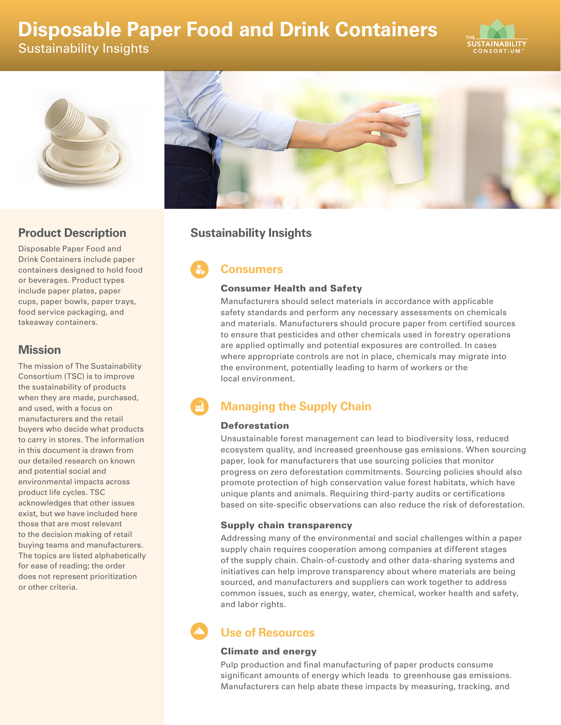# **Disposable Paper Food and Drink Containers**

Sustainability Insights





### **Product Description**

Disposable Paper Food and Drink Containers include paper containers designed to hold food or beverages. Product types include paper plates, paper cups, paper bowls, paper trays, food service packaging, and takeaway containers.

### **Mission**

The mission of The Sustainability Consortium (TSC) is to improve the sustainability of products when they are made, purchased, and used, with a focus on manufacturers and the retail buyers who decide what products to carry in stores. The information in this document is drawn from our detailed research on known and potential social and environmental impacts across product life cycles. TSC acknowledges that other issues exist, but we have included here those that are most relevant to the decision making of retail buying teams and manufacturers. The topics are listed alphabetically for ease of reading; the order does not represent prioritization or other criteria.



## **Sustainability Insights**

# **Consumers**

### Consumer Health and Safety

Manufacturers should select materials in accordance with applicable safety standards and perform any necessary assessments on chemicals and materials. Manufacturers should procure paper from certified sources to ensure that pesticides and other chemicals used in forestry operations are applied optimally and potential exposures are controlled. In cases where appropriate controls are not in place, chemicals may migrate into the environment, potentially leading to harm of workers or the local environment.

# **Managing the Supply Chain**

### Deforestation

Unsustainable forest management can lead to biodiversity loss, reduced ecosystem quality, and increased greenhouse gas emissions. When sourcing paper, look for manufacturers that use sourcing policies that monitor progress on zero deforestation commitments. Sourcing policies should also promote protection of high conservation value forest habitats, which have unique plants and animals. Requiring third-party audits or certifications based on site-specific observations can also reduce the risk of deforestation.

### Supply chain transparency

Addressing many of the environmental and social challenges within a paper supply chain requires cooperation among companies at different stages of the supply chain. Chain-of-custody and other data-sharing systems and initiatives can help improve transparency about where materials are being sourced, and manufacturers and suppliers can work together to address common issues, such as energy, water, chemical, worker health and safety, and labor rights.

# **Use of Resources**

### Climate and energy

Pulp production and final manufacturing of paper products consume significant amounts of energy which leads to greenhouse gas emissions. Manufacturers can help abate these impacts by measuring, tracking, and